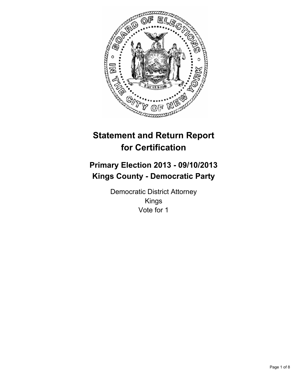

# **Statement and Return Report for Certification**

# **Primary Election 2013 - 09/10/2013 Kings County - Democratic Party**

Democratic District Attorney Kings Vote for 1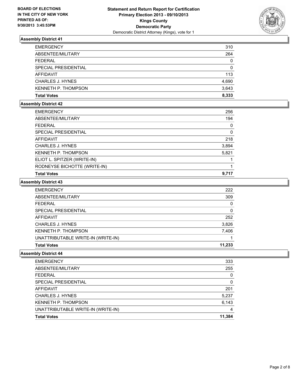

| <b>EMERGENCY</b>        | 310   |
|-------------------------|-------|
| ABSENTEE/MILITARY       | 264   |
| <b>FEDERAL</b>          | 0     |
| SPECIAL PRESIDENTIAL    | 0     |
| AFFIDAVIT               | 113   |
| <b>CHARLES J. HYNES</b> | 4,690 |
| KENNETH P. THOMPSON     | 3,643 |
| <b>Total Votes</b>      | 8.333 |

# **Assembly District 42**

| <b>EMERGENCY</b>             | 256   |
|------------------------------|-------|
| ABSENTEE/MILITARY            | 194   |
| <b>FEDERAL</b>               | 0     |
| SPECIAL PRESIDENTIAL         | 0     |
| AFFIDAVIT                    | 218   |
| <b>CHARLES J. HYNES</b>      | 3,894 |
| <b>KENNETH P. THOMPSON</b>   | 5,821 |
| ELIOT L. SPITZER (WRITE-IN)  |       |
| RODNEYSE BICHOTTE (WRITE-IN) |       |
| <b>Total Votes</b>           | 9.717 |
|                              |       |

#### **Assembly District 43**

| <b>EMERGENCY</b>                   | 222    |
|------------------------------------|--------|
| ABSENTEE/MILITARY                  | 309    |
| <b>FEDERAL</b>                     | 0      |
| SPECIAL PRESIDENTIAL               | 0      |
| <b>AFFIDAVIT</b>                   | 252    |
| <b>CHARLES J. HYNES</b>            | 3,826  |
| KENNETH P. THOMPSON                | 7,406  |
| UNATTRIBUTABLE WRITE-IN (WRITE-IN) |        |
| <b>Total Votes</b>                 | 11.233 |

| <b>EMERGENCY</b>                   | 333    |
|------------------------------------|--------|
| ABSENTEE/MILITARY                  | 255    |
| <b>FEDERAL</b>                     | 0      |
| SPECIAL PRESIDENTIAL               | 0      |
| AFFIDAVIT                          | 201    |
| <b>CHARLES J. HYNES</b>            | 5,237  |
| <b>KENNETH P. THOMPSON</b>         | 6,143  |
| UNATTRIBUTABLE WRITE-IN (WRITE-IN) | 4      |
| <b>Total Votes</b>                 | 11.384 |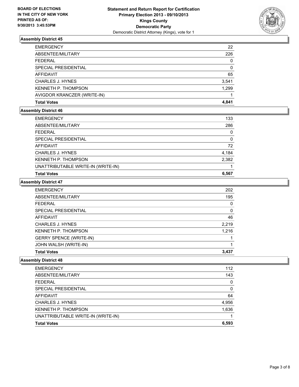

| <b>EMERGENCY</b>            | 22       |
|-----------------------------|----------|
| ABSENTEE/MILITARY           | 226      |
| <b>FEDERAL</b>              | 0        |
| <b>SPECIAL PRESIDENTIAL</b> | $\Omega$ |
| <b>AFFIDAVIT</b>            | 65       |
| <b>CHARLES J. HYNES</b>     | 3,541    |
| <b>KENNETH P. THOMPSON</b>  | 1.299    |
| AVIGDOR KRANCZER (WRITE-IN) |          |
| <b>Total Votes</b>          | 4.841    |

## **Assembly District 46**

| <b>EMERGENCY</b>                   | 133      |
|------------------------------------|----------|
| ABSENTEE/MILITARY                  | 286      |
| <b>FEDERAL</b>                     | 0        |
| SPECIAL PRESIDENTIAL               | $\Omega$ |
| AFFIDAVIT                          | 72       |
| CHARLES J. HYNES                   | 4,184    |
| <b>KENNETH P. THOMPSON</b>         | 2,382    |
| UNATTRIBUTABLE WRITE-IN (WRITE-IN) |          |
| <b>Total Votes</b>                 | 6.567    |

#### **Assembly District 47**

| <b>EMERGENCY</b>               | 202   |
|--------------------------------|-------|
| ABSENTEE/MILITARY              | 195   |
| <b>FEDERAL</b>                 | 0     |
| SPECIAL PRESIDENTIAL           | 0     |
| <b>AFFIDAVIT</b>               | 46    |
| <b>CHARLES J. HYNES</b>        | 2,219 |
| <b>KENNETH P. THOMPSON</b>     | 1,216 |
| <b>GERRY SPENCE (WRITE-IN)</b> |       |
| JOHN WALSH (WRITE-IN)          |       |
| <b>Total Votes</b>             | 3.437 |

| <b>EMERGENCY</b>                   | 112   |
|------------------------------------|-------|
| ABSENTEE/MILITARY                  | 143   |
| <b>FEDERAL</b>                     | 0     |
| SPECIAL PRESIDENTIAL               | 0     |
| AFFIDAVIT                          | 64    |
| <b>CHARLES J. HYNES</b>            | 4,956 |
| <b>KENNETH P. THOMPSON</b>         | 1,636 |
| UNATTRIBUTABLE WRITE-IN (WRITE-IN) |       |
| <b>Total Votes</b>                 | 6,593 |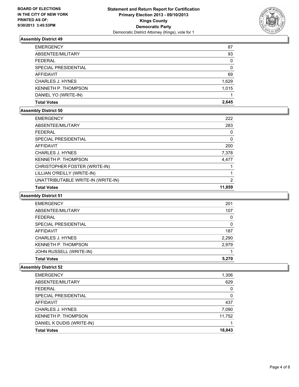

| <b>EMERGENCY</b>           | 87    |
|----------------------------|-------|
| ABSENTEE/MILITARY          | 93    |
| <b>FEDERAL</b>             | 0     |
| SPECIAL PRESIDENTIAL       | 0     |
| <b>AFFIDAVIT</b>           | 69    |
| <b>CHARLES J. HYNES</b>    | 1,629 |
| <b>KENNETH P. THOMPSON</b> | 1.015 |
| DANIEL YO (WRITE-IN)       |       |
| <b>Total Votes</b>         | 2.645 |

#### **Assembly District 50**

| <b>EMERGENCY</b>                   | 222    |
|------------------------------------|--------|
| ABSENTEE/MILITARY                  | 283    |
| <b>FEDERAL</b>                     | 0      |
| <b>SPECIAL PRESIDENTIAL</b>        | 0      |
| AFFIDAVIT                          | 200    |
| <b>CHARLES J. HYNES</b>            | 7,378  |
| KENNETH P. THOMPSON                | 4,477  |
| CHRISTOPHER FOSTER (WRITE-IN)      |        |
| LILLIAN O'REILLY (WRITE-IN)        |        |
| UNATTRIBUTABLE WRITE-IN (WRITE-IN) | 2      |
| <b>Total Votes</b>                 | 11,859 |

### **Assembly District 51**

| <b>EMERGENCY</b>           | 201   |
|----------------------------|-------|
| ABSENTEE/MILITARY          | 107   |
| <b>FEDERAL</b>             | 0     |
| SPECIAL PRESIDENTIAL       | 0     |
| AFFIDAVIT                  | 187   |
| <b>CHARLES J. HYNES</b>    | 2,290 |
| <b>KENNETH P. THOMPSON</b> | 2,979 |
| JOHN RUSSELL (WRITE-IN)    |       |
| <b>Total Votes</b>         | 5.270 |

| <b>Total Votes</b>         | 18,843 |
|----------------------------|--------|
| DANIEL K DUDIS (WRITE-IN)  |        |
| <b>KENNETH P. THOMPSON</b> | 11,752 |
| <b>CHARLES J. HYNES</b>    | 7,090  |
| <b>AFFIDAVIT</b>           | 437    |
| SPECIAL PRESIDENTIAL       | 0      |
| <b>FEDERAL</b>             | 0      |
| ABSENTEE/MILITARY          | 629    |
| <b>EMERGENCY</b>           | 1,306  |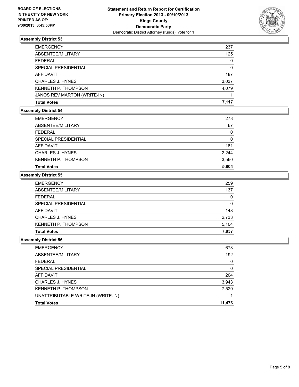

| <b>EMERGENCY</b>            | 237      |
|-----------------------------|----------|
| ABSENTEE/MILITARY           | 125      |
| <b>FEDERAL</b>              | 0        |
| SPECIAL PRESIDENTIAL        | $\Omega$ |
| <b>AFFIDAVIT</b>            | 187      |
| <b>CHARLES J. HYNES</b>     | 3,037    |
| KENNETH P. THOMPSON         | 4.079    |
| JANOS REV MARTON (WRITE-IN) |          |
| <b>Total Votes</b>          | 7.117    |

## **Assembly District 54**

| <b>EMERGENCY</b>           | 278   |
|----------------------------|-------|
| ABSENTEE/MILITARY          | 67    |
| FEDERAL                    | 0     |
| SPECIAL PRESIDENTIAL       | 0     |
| AFFIDAVIT                  | 181   |
| CHARLES J. HYNES           | 2,244 |
| <b>KENNETH P. THOMPSON</b> | 3,560 |
| <b>Total Votes</b>         | 5,804 |

#### **Assembly District 55**

| <b>Total Votes</b>         | 7,837 |
|----------------------------|-------|
| <b>KENNETH P. THOMPSON</b> | 5.104 |
| <b>CHARLES J. HYNES</b>    | 2,733 |
| AFFIDAVIT                  | 148   |
| SPECIAL PRESIDENTIAL       | 0     |
| <b>FEDERAL</b>             | 0     |
| ABSENTEE/MILITARY          | 137   |
| <b>EMERGENCY</b>           | 259   |

| <b>EMERGENCY</b>                   | 673      |
|------------------------------------|----------|
| ABSENTEE/MILITARY                  | 192      |
| <b>FEDERAL</b>                     | 0        |
| SPECIAL PRESIDENTIAL               | $\Omega$ |
| AFFIDAVIT                          | 204      |
| <b>CHARLES J. HYNES</b>            | 3,943    |
| <b>KENNETH P. THOMPSON</b>         | 7,529    |
| UNATTRIBUTABLE WRITE-IN (WRITE-IN) |          |
| <b>Total Votes</b>                 | 11,473   |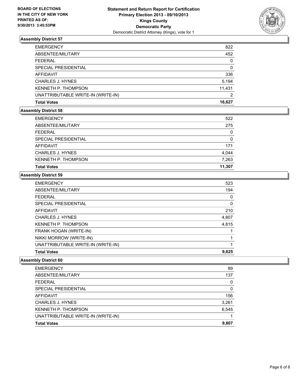

| <b>EMERGENCY</b>                   | 822    |
|------------------------------------|--------|
| ABSENTEE/MILITARY                  | 452    |
| <b>FEDERAL</b>                     | 0      |
| SPECIAL PRESIDENTIAL               | 0      |
| AFFIDAVIT                          | 336    |
| <b>CHARLES J. HYNES</b>            | 5,194  |
| KENNETH P. THOMPSON                | 11,431 |
| UNATTRIBUTABLE WRITE-IN (WRITE-IN) | 2      |
| <b>Total Votes</b>                 | 16.627 |

#### **Assembly District 58**

| <b>EMERGENCY</b>           | 522      |
|----------------------------|----------|
| ABSENTEE/MILITARY          | 275      |
| <b>FEDERAL</b>             | 0        |
| SPECIAL PRESIDENTIAL       | $\Omega$ |
| AFFIDAVIT                  | 171      |
| <b>CHARLES J. HYNES</b>    | 4,044    |
| <b>KENNETH P. THOMPSON</b> | 7,263    |
| <b>Total Votes</b>         | 11,307   |

#### **Assembly District 59**

| <b>EMERGENCY</b>                   | 523   |
|------------------------------------|-------|
| ABSENTEE/MILITARY                  | 194   |
| <b>FEDERAL</b>                     | 0     |
| SPECIAL PRESIDENTIAL               | 0     |
| AFFIDAVIT                          | 210   |
| <b>CHARLES J. HYNES</b>            | 4,807 |
| <b>KENNETH P. THOMPSON</b>         | 4,815 |
| FRANK HOGAN (WRITE-IN)             |       |
| NIKKI MORROW (WRITE-IN)            |       |
| UNATTRIBUTABLE WRITE-IN (WRITE-IN) |       |
| <b>Total Votes</b>                 | 9,625 |

| <b>EMERGENCY</b>                   | 89    |
|------------------------------------|-------|
| ABSENTEE/MILITARY                  | 137   |
| <b>FEDERAL</b>                     | 0     |
| SPECIAL PRESIDENTIAL               | 0     |
| <b>AFFIDAVIT</b>                   | 156   |
| <b>CHARLES J. HYNES</b>            | 3,261 |
| <b>KENNETH P. THOMPSON</b>         | 6,545 |
| UNATTRIBUTABLE WRITE-IN (WRITE-IN) |       |
| <b>Total Votes</b>                 | 9,807 |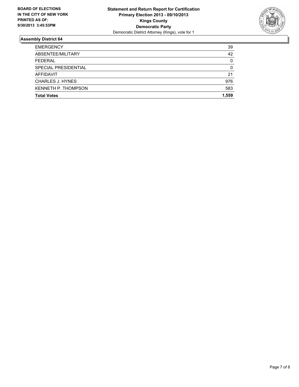

| <b>Total Votes</b>         | 1.559    |
|----------------------------|----------|
| <b>KENNETH P. THOMPSON</b> | 583      |
| <b>CHARLES J. HYNES</b>    | 976      |
| <b>AFFIDAVIT</b>           | 21       |
| SPECIAL PRESIDENTIAL       | $\Omega$ |
| <b>FEDERAL</b>             | $\Omega$ |
| ABSENTEE/MILITARY          | 42       |
| <b>EMERGENCY</b>           | 39       |